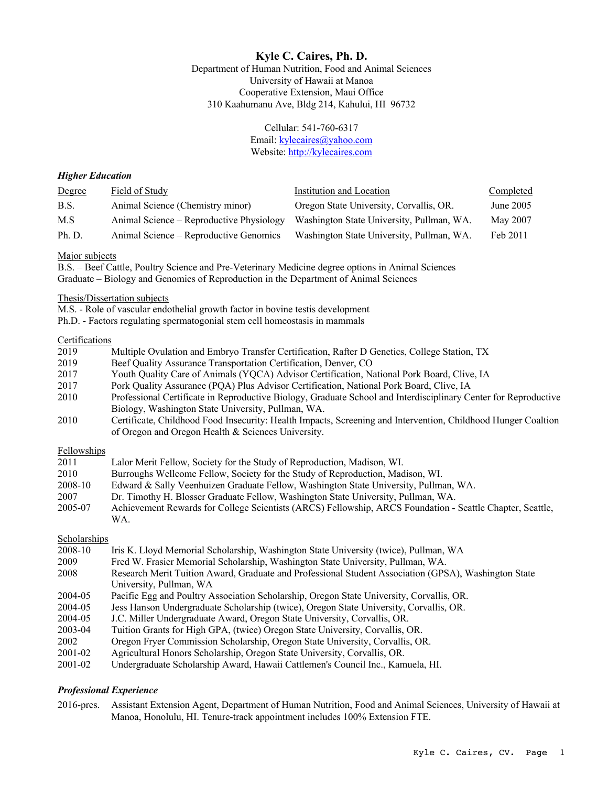# **Kyle C. Caires, Ph. D.**

Department of Human Nutrition, Food and Animal Sciences University of Hawaii at Manoa Cooperative Extension, Maui Office 310 Kaahumanu Ave, Bldg 214, Kahului, HI 96732

#### Cellular: 541-760-6317 Email: kylecaires@yahoo.com Website: http://kylecaires.com

### *Higher Education*

| Degree | Field of Study                           | Institution and Location                  | Completed |
|--------|------------------------------------------|-------------------------------------------|-----------|
| B.S.   | Animal Science (Chemistry minor)         | Oregon State University, Corvallis, OR.   | June 2005 |
| M.S    | Animal Science – Reproductive Physiology | Washington State University, Pullman, WA. | May 2007  |
| Ph. D. | Animal Science – Reproductive Genomics   | Washington State University, Pullman, WA. | Feb 2011  |

#### Major subjects

B.S. – Beef Cattle, Poultry Science and Pre-Veterinary Medicine degree options in Animal Sciences Graduate – Biology and Genomics of Reproduction in the Department of Animal Sciences

#### Thesis/Dissertation subjects

M.S. - Role of vascular endothelial growth factor in bovine testis development

Ph.D. - Factors regulating spermatogonial stem cell homeostasis in mammals

#### Certifications

| 2019 | Multiple Ovulation and Embryo Transfer Certification, Rafter D Genetics, College Station, TX |
|------|----------------------------------------------------------------------------------------------|
| 2019 | Beef Quality Assurance Transportation Certification, Denver, CO                              |
| 2017 | Youth Quality Care of Animals (YQCA) Advisor Certification, National Pork Board, Clive, IA   |
| 2017 | Pork Quality Assurance (PQA) Plus Advisor Certification, National Pork Board, Clive, IA      |
|      |                                                                                              |

- 2010 Professional Certificate in Reproductive Biology, Graduate School and Interdisciplinary Center for Reproductive Biology, Washington State University, Pullman, WA.
- 2010 Certificate, Childhood Food Insecurity: Health Impacts, Screening and Intervention, Childhood Hunger Coaltion of Oregon and Oregon Health & Sciences University.

#### Fellowships

|  | 2011 | Lalor Merit Fellow, Society for the Study of Reproduction, Madison, WI. |  |  |  |
|--|------|-------------------------------------------------------------------------|--|--|--|
|--|------|-------------------------------------------------------------------------|--|--|--|

- 2010 Burroughs Wellcome Fellow, Society for the Study of Reproduction, Madison, WI.
- 2008-10 Edward & Sally Veenhuizen Graduate Fellow, Washington State University, Pullman, WA.
- 2007 Dr. Timothy H. Blosser Graduate Fellow, Washington State University, Pullman, WA.
- 2005-07 Achievement Rewards for College Scientists (ARCS) Fellowship, ARCS Foundation Seattle Chapter, Seattle, WA.

#### Scholarships

2008-10 Iris K. Lloyd Memorial Scholarship, Washington State University (twice), Pullman, WA 2009 Fred W. Frasier Memorial Scholarship, Washington State University, Pullman, WA. 2008 Research Merit Tuition Award, Graduate and Professional Student Association (GPSA), Washington State University, Pullman, WA 2004-05 Pacific Egg and Poultry Association Scholarship, Oregon State University, Corvallis, OR. 2004-05 Jess Hanson Undergraduate Scholarship (twice), Oregon State University, Corvallis, OR. 2004-05 J.C. Miller Undergraduate Award, Oregon State University, Corvallis, OR. 2003-04 Tuition Grants for High GPA, (twice) Oregon State University, Corvallis, OR. 2002 Oregon Fryer Commission Scholarship, Oregon State University, Corvallis, OR. 2001-02 Agricultural Honors Scholarship, Oregon State University, Corvallis, OR. 2001-02 Undergraduate Scholarship Award, Hawaii Cattlemen's Council Inc., Kamuela, HI.

## *Professional Experience*

2016-pres. Assistant Extension Agent, Department of Human Nutrition, Food and Animal Sciences, University of Hawaii at Manoa, Honolulu, HI. Tenure-track appointment includes 100% Extension FTE.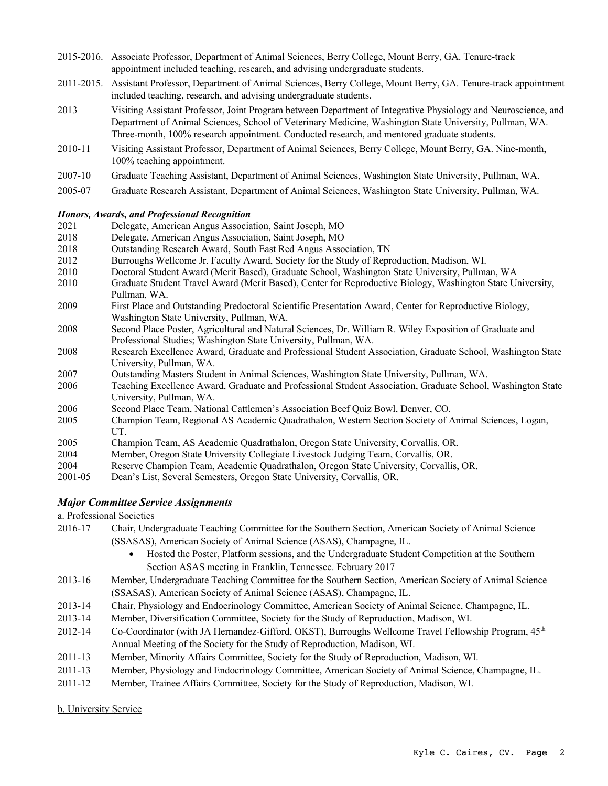- 2015-2016. Associate Professor, Department of Animal Sciences, Berry College, Mount Berry, GA. Tenure-track appointment included teaching, research, and advising undergraduate students.
- 2011-2015. Assistant Professor, Department of Animal Sciences, Berry College, Mount Berry, GA. Tenure-track appointment included teaching, research, and advising undergraduate students.
- 2013 Visiting Assistant Professor, Joint Program between Department of Integrative Physiology and Neuroscience, and Department of Animal Sciences, School of Veterinary Medicine, Washington State University, Pullman, WA. Three-month, 100% research appointment. Conducted research, and mentored graduate students.
- 2010-11 Visiting Assistant Professor, Department of Animal Sciences, Berry College, Mount Berry, GA. Nine-month, 100% teaching appointment.
- 2007-10 Graduate Teaching Assistant, Department of Animal Sciences, Washington State University, Pullman, WA.
- 2005-07 Graduate Research Assistant, Department of Animal Sciences, Washington State University, Pullman, WA.

### *Honors, Awards, and Professional Recognition*

- 2021 Delegate, American Angus Association, Saint Joseph, MO
- 2018 Delegate, American Angus Association, Saint Joseph, MO
- 2018 Outstanding Research Award, South East Red Angus Association, TN
- 2012 Burroughs Wellcome Jr. Faculty Award, Society for the Study of Reproduction, Madison, WI.
- 2010 Doctoral Student Award (Merit Based), Graduate School, Washington State University, Pullman, WA
- 2010 Graduate Student Travel Award (Merit Based), Center for Reproductive Biology, Washington State University, Pullman, WA.
- 2009 First Place and Outstanding Predoctoral Scientific Presentation Award, Center for Reproductive Biology, Washington State University, Pullman, WA.
- 2008 Second Place Poster, Agricultural and Natural Sciences, Dr. William R. Wiley Exposition of Graduate and Professional Studies; Washington State University, Pullman, WA.
- 2008 Research Excellence Award, Graduate and Professional Student Association, Graduate School, Washington State University, Pullman, WA.
- 2007 Outstanding Masters Student in Animal Sciences, Washington State University, Pullman, WA.
- 2006 Teaching Excellence Award, Graduate and Professional Student Association, Graduate School, Washington State University, Pullman, WA.
- 2006 Second Place Team, National Cattlemen's Association Beef Quiz Bowl, Denver, CO.
- 2005 Champion Team, Regional AS Academic Quadrathalon, Western Section Society of Animal Sciences, Logan, UT.
- 2005 Champion Team, AS Academic Quadrathalon, Oregon State University, Corvallis, OR.
- 2004 Member, Oregon State University Collegiate Livestock Judging Team, Corvallis, OR.
- 2004 Reserve Champion Team, Academic Quadrathalon, Oregon State University, Corvallis, OR.
- 2001-05 Dean's List, Several Semesters, Oregon State University, Corvallis, OR.

## *Major Committee Service Assignments*

#### a. Professional Societies

- 2016-17 Chair, Undergraduate Teaching Committee for the Southern Section, American Society of Animal Science (SSASAS), American Society of Animal Science (ASAS), Champagne, IL.
	- Hosted the Poster, Platform sessions, and the Undergraduate Student Competition at the Southern Section ASAS meeting in Franklin, Tennessee. February 2017
- 2013-16 Member, Undergraduate Teaching Committee for the Southern Section, American Society of Animal Science (SSASAS), American Society of Animal Science (ASAS), Champagne, IL.
- 2013-14 Chair, Physiology and Endocrinology Committee, American Society of Animal Science, Champagne, IL.
- 2013-14 Member, Diversification Committee, Society for the Study of Reproduction, Madison, WI.
- 2012-14 Co-Coordinator (with JA Hernandez-Gifford, OKST), Burroughs Wellcome Travel Fellowship Program, 45<sup>th</sup> Annual Meeting of the Society for the Study of Reproduction, Madison, WI.
- 2011-13 Member, Minority Affairs Committee, Society for the Study of Reproduction, Madison, WI.
- 2011-13 Member, Physiology and Endocrinology Committee, American Society of Animal Science, Champagne, IL.
- 2011-12 Member, Trainee Affairs Committee, Society for the Study of Reproduction, Madison, WI.

#### b. University Service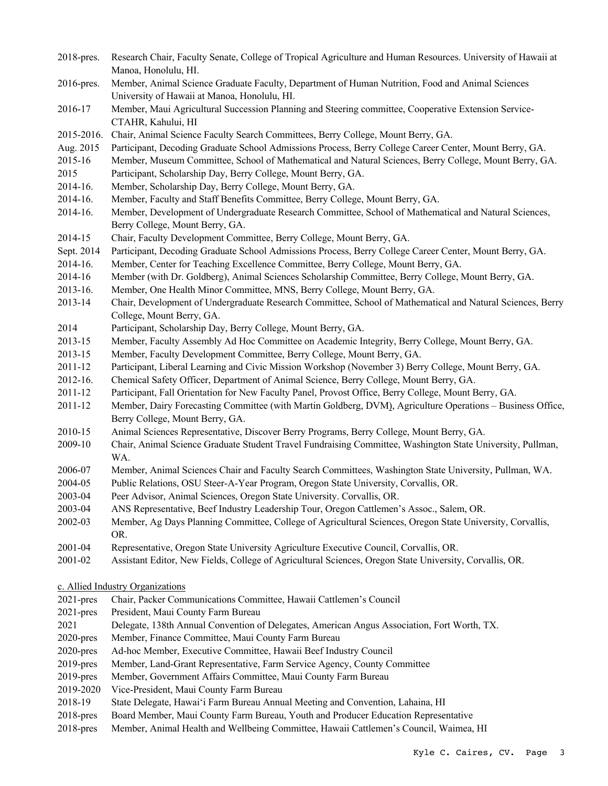- 2018-pres. Research Chair, Faculty Senate, College of Tropical Agriculture and Human Resources. University of Hawaii at Manoa, Honolulu, HI.
- 2016-pres. Member, Animal Science Graduate Faculty, Department of Human Nutrition, Food and Animal Sciences University of Hawaii at Manoa, Honolulu, HI.
- 2016-17 Member, Maui Agricultural Succession Planning and Steering committee, Cooperative Extension Service-CTAHR, Kahului, HI
- 2015-2016. Chair, Animal Science Faculty Search Committees, Berry College, Mount Berry, GA.
- Aug. 2015 Participant, Decoding Graduate School Admissions Process, Berry College Career Center, Mount Berry, GA.
- 2015-16 Member, Museum Committee, School of Mathematical and Natural Sciences, Berry College, Mount Berry, GA.
- 2015 Participant, Scholarship Day, Berry College, Mount Berry, GA.
- 2014-16. Member, Scholarship Day, Berry College, Mount Berry, GA.
- 2014-16. Member, Faculty and Staff Benefits Committee, Berry College, Mount Berry, GA.
- 2014-16. Member, Development of Undergraduate Research Committee, School of Mathematical and Natural Sciences, Berry College, Mount Berry, GA.
- 2014-15 Chair, Faculty Development Committee, Berry College, Mount Berry, GA.
- Sept. 2014 Participant, Decoding Graduate School Admissions Process, Berry College Career Center, Mount Berry, GA.
- 2014-16. Member, Center for Teaching Excellence Committee, Berry College, Mount Berry, GA.
- 2014-16 Member (with Dr. Goldberg), Animal Sciences Scholarship Committee, Berry College, Mount Berry, GA.
- 2013-16. Member, One Health Minor Committee, MNS, Berry College, Mount Berry, GA.
- 2013-14 Chair, Development of Undergraduate Research Committee, School of Mathematical and Natural Sciences, Berry College, Mount Berry, GA.
- 2014 Participant, Scholarship Day, Berry College, Mount Berry, GA.
- 2013-15 Member, Faculty Assembly Ad Hoc Committee on Academic Integrity, Berry College, Mount Berry, GA.
- 2013-15 Member, Faculty Development Committee, Berry College, Mount Berry, GA.
- 2011-12 Participant, Liberal Learning and Civic Mission Workshop (November 3) Berry College, Mount Berry, GA.
- 2012-16. Chemical Safety Officer, Department of Animal Science, Berry College, Mount Berry, GA.
- 2011-12 Participant, Fall Orientation for New Faculty Panel, Provost Office, Berry College, Mount Berry, GA.
- 2011-12 Member, Dairy Forecasting Committee (with Martin Goldberg, DVM), Agriculture Operations Business Office, Berry College, Mount Berry, GA.
- 2010-15 Animal Sciences Representative, Discover Berry Programs, Berry College, Mount Berry, GA.
- 2009-10 Chair, Animal Science Graduate Student Travel Fundraising Committee, Washington State University, Pullman, WA.
- 2006-07 Member, Animal Sciences Chair and Faculty Search Committees, Washington State University, Pullman, WA.
- 2004-05 Public Relations, OSU Steer-A-Year Program, Oregon State University, Corvallis, OR.
- 2003-04 Peer Advisor, Animal Sciences, Oregon State University. Corvallis, OR.
- 2003-04 ANS Representative, Beef Industry Leadership Tour, Oregon Cattlemen's Assoc., Salem, OR.
- 2002-03 Member, Ag Days Planning Committee, College of Agricultural Sciences, Oregon State University, Corvallis, OR.
- 2001-04 Representative, Oregon State University Agriculture Executive Council, Corvallis, OR.
- 2001-02 Assistant Editor, New Fields, College of Agricultural Sciences, Oregon State University, Corvallis, OR.

c. Allied Industry Organizations

- 2021-pres Chair, Packer Communications Committee, Hawaii Cattlemen's Council
- 2021-pres President, Maui County Farm Bureau
- 2021 Delegate, 138th Annual Convention of Delegates, American Angus Association, Fort Worth, TX.
- 2020-pres Member, Finance Committee, Maui County Farm Bureau
- 2020-pres Ad-hoc Member, Executive Committee, Hawaii Beef Industry Council
- 2019-pres Member, Land-Grant Representative, Farm Service Agency, County Committee
- 2019-pres Member, Government Affairs Committee, Maui County Farm Bureau
- 2019-2020 Vice-President, Maui County Farm Bureau
- 2018-19 State Delegate, Hawai'i Farm Bureau Annual Meeting and Convention, Lahaina, HI
- 2018-pres Board Member, Maui County Farm Bureau, Youth and Producer Education Representative
- 2018-pres Member, Animal Health and Wellbeing Committee, Hawaii Cattlemen's Council, Waimea, HI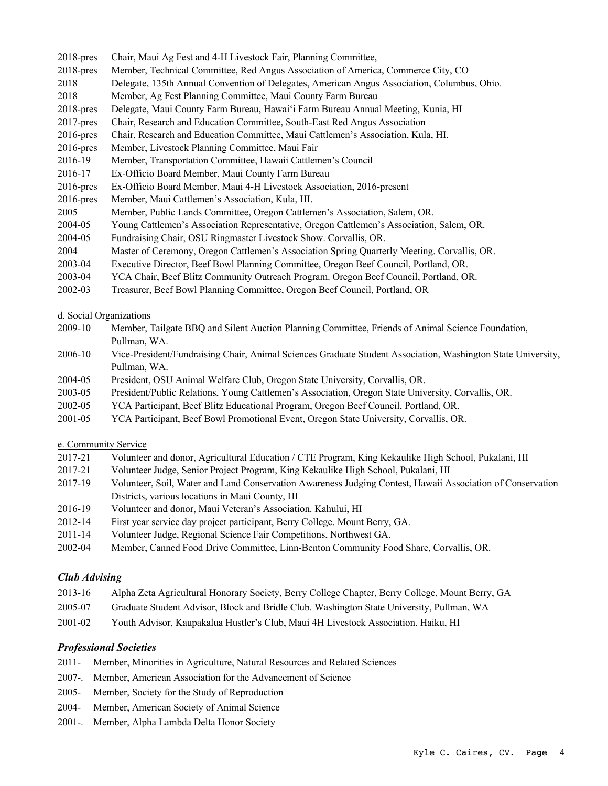- 2018-pres Chair, Maui Ag Fest and 4-H Livestock Fair, Planning Committee,
- 2018-pres Member, Technical Committee, Red Angus Association of America, Commerce City, CO
- 2018 Delegate, 135th Annual Convention of Delegates, American Angus Association, Columbus, Ohio.
- 2018 Member, Ag Fest Planning Committee, Maui County Farm Bureau
- 2018-pres Delegate, Maui County Farm Bureau, Hawai'i Farm Bureau Annual Meeting, Kunia, HI
- 2017-pres Chair, Research and Education Committee, South-East Red Angus Association
- 2016-pres Chair, Research and Education Committee, Maui Cattlemen's Association, Kula, HI.
- 2016-pres Member, Livestock Planning Committee, Maui Fair
- 2016-19 Member, Transportation Committee, Hawaii Cattlemen's Council
- 2016-17 Ex-Officio Board Member, Maui County Farm Bureau
- 2016-pres Ex-Officio Board Member, Maui 4-H Livestock Association, 2016-present
- 2016-pres Member, Maui Cattlemen's Association, Kula, HI.
- 2005 Member, Public Lands Committee, Oregon Cattlemen's Association, Salem, OR.
- 2004-05 Young Cattlemen's Association Representative, Oregon Cattlemen's Association, Salem, OR.
- 2004-05 Fundraising Chair, OSU Ringmaster Livestock Show. Corvallis, OR.
- 2004 Master of Ceremony, Oregon Cattlemen's Association Spring Quarterly Meeting. Corvallis, OR.
- 2003-04 Executive Director, Beef Bowl Planning Committee, Oregon Beef Council, Portland, OR.
- 2003-04 YCA Chair, Beef Blitz Community Outreach Program. Oregon Beef Council, Portland, OR.
- 2002-03 Treasurer, Beef Bowl Planning Committee, Oregon Beef Council, Portland, OR

d. Social Organizations

- 2009-10 Member, Tailgate BBQ and Silent Auction Planning Committee, Friends of Animal Science Foundation, Pullman, WA.
- 2006-10 Vice-President/Fundraising Chair, Animal Sciences Graduate Student Association, Washington State University, Pullman, WA.
- 2004-05 President, OSU Animal Welfare Club, Oregon State University, Corvallis, OR.
- 2003-05 President/Public Relations, Young Cattlemen's Association, Oregon State University, Corvallis, OR.
- 2002-05 YCA Participant, Beef Blitz Educational Program, Oregon Beef Council, Portland, OR.
- 2001-05 YCA Participant, Beef Bowl Promotional Event, Oregon State University, Corvallis, OR.

## e. Community Service

- 2017-21 Volunteer and donor, Agricultural Education / CTE Program, King Kekaulike High School, Pukalani, HI
- 2017-21 Volunteer Judge, Senior Project Program, King Kekaulike High School, Pukalani, HI
- 2017-19 Volunteer, Soil, Water and Land Conservation Awareness Judging Contest, Hawaii Association of Conservation Districts, various locations in Maui County, HI
- 2016-19 Volunteer and donor, Maui Veteran's Association. Kahului, HI
- 2012-14 First year service day project participant, Berry College. Mount Berry, GA.
- 2011-14 Volunteer Judge, Regional Science Fair Competitions, Northwest GA.
- 2002-04 Member, Canned Food Drive Committee, Linn-Benton Community Food Share, Corvallis, OR.

## *Club Advising*

- 2013-16 Alpha Zeta Agricultural Honorary Society, Berry College Chapter, Berry College, Mount Berry, GA
- 2005-07 Graduate Student Advisor, Block and Bridle Club. Washington State University, Pullman, WA
- 2001-02 Youth Advisor, Kaupakalua Hustler's Club, Maui 4H Livestock Association. Haiku, HI

## *Professional Societies*

- 2011- Member, Minorities in Agriculture, Natural Resources and Related Sciences
- 2007-. Member, American Association for the Advancement of Science
- 2005- Member, Society for the Study of Reproduction
- 2004- Member, American Society of Animal Science
- 2001-. Member, Alpha Lambda Delta Honor Society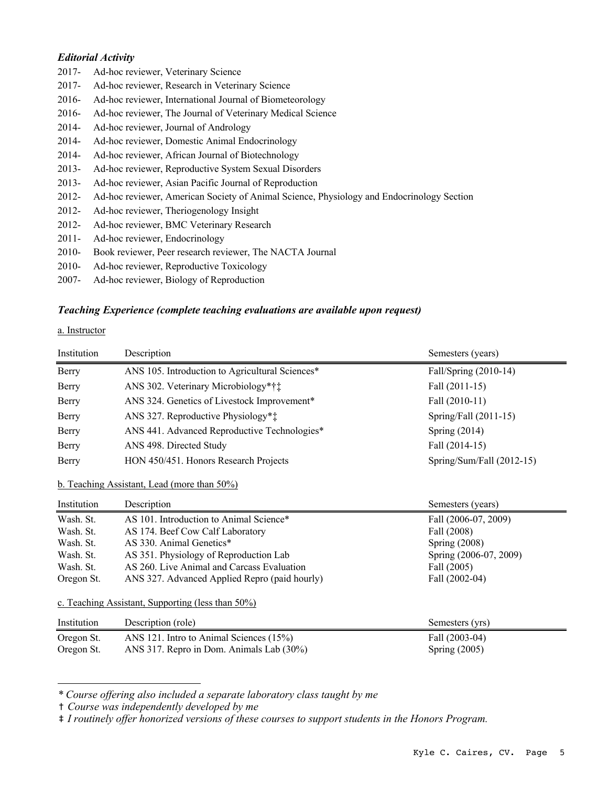## *Editorial Activity*

- 2017- Ad-hoc reviewer, Veterinary Science
- 2017- Ad-hoc reviewer, Research in Veterinary Science
- 2016- Ad-hoc reviewer, International Journal of Biometeorology
- 2016- Ad-hoc reviewer, The Journal of Veterinary Medical Science
- 2014- Ad-hoc reviewer, Journal of Andrology
- 2014- Ad-hoc reviewer, Domestic Animal Endocrinology
- 2014- Ad-hoc reviewer, African Journal of Biotechnology
- 2013- Ad-hoc reviewer, Reproductive System Sexual Disorders
- 2013- Ad-hoc reviewer, Asian Pacific Journal of Reproduction
- 2012- Ad-hoc reviewer, American Society of Animal Science, Physiology and Endocrinology Section
- 2012- Ad-hoc reviewer, Theriogenology Insight
- 2012- Ad-hoc reviewer, BMC Veterinary Research
- 2011- Ad-hoc reviewer, Endocrinology
- 2010- Book reviewer, Peer research reviewer, The NACTA Journal
- 2010- Ad-hoc reviewer, Reproductive Toxicology
- 2007- Ad-hoc reviewer, Biology of Reproduction

### *Teaching Experience (complete teaching evaluations are available upon request)*

#### a. Instructor

| Institution | Description                                     | Semesters (years)           |
|-------------|-------------------------------------------------|-----------------------------|
| Berry       | ANS 105. Introduction to Agricultural Sciences* | Fall/Spring (2010-14)       |
| Berry       | ANS 302. Veterinary Microbiology*††             | Fall (2011-15)              |
| Berry       | ANS 324. Genetics of Livestock Improvement*     | Fall (2010-11)              |
| Berry       | ANS 327. Reproductive Physiology**              | Spring/Fall $(2011-15)$     |
| Berry       | ANS 441. Advanced Reproductive Technologies*    | Spring $(2014)$             |
| Berry       | ANS 498. Directed Study                         | Fall (2014-15)              |
| Berry       | HON 450/451. Honors Research Projects           | Spring/Sum/Fall $(2012-15)$ |

b. Teaching Assistant, Lead (more than 50%)

| Institution | Description                                   | Semesters (years)      |
|-------------|-----------------------------------------------|------------------------|
| Wash. St.   | AS 101. Introduction to Animal Science*       | Fall (2006-07, 2009)   |
| Wash. St.   | AS 174. Beef Cow Calf Laboratory              | Fall (2008)            |
| Wash. St.   | AS 330. Animal Genetics*                      | Spring $(2008)$        |
| Wash. St.   | AS 351. Physiology of Reproduction Lab        | Spring (2006-07, 2009) |
| Wash. St.   | AS 260. Live Animal and Carcass Evaluation    | Fall (2005)            |
| Oregon St.  | ANS 327. Advanced Applied Repro (paid hourly) | Fall (2002-04)         |

c. Teaching Assistant, Supporting (less than 50%)

| Institution | Description (role)                       | Semesters (yrs) |
|-------------|------------------------------------------|-----------------|
| Oregon St.  | ANS 121. Intro to Animal Sciences (15%)  | Fall (2003-04)  |
| Oregon St.  | ANS 317. Repro in Dom. Animals Lab (30%) | Spring $(2005)$ |

*\* Course offering also included a separate laboratory class taught by me*

† *Course was independently developed by me* 

‡ *I routinely offer honorized versions of these courses to support students in the Honors Program.*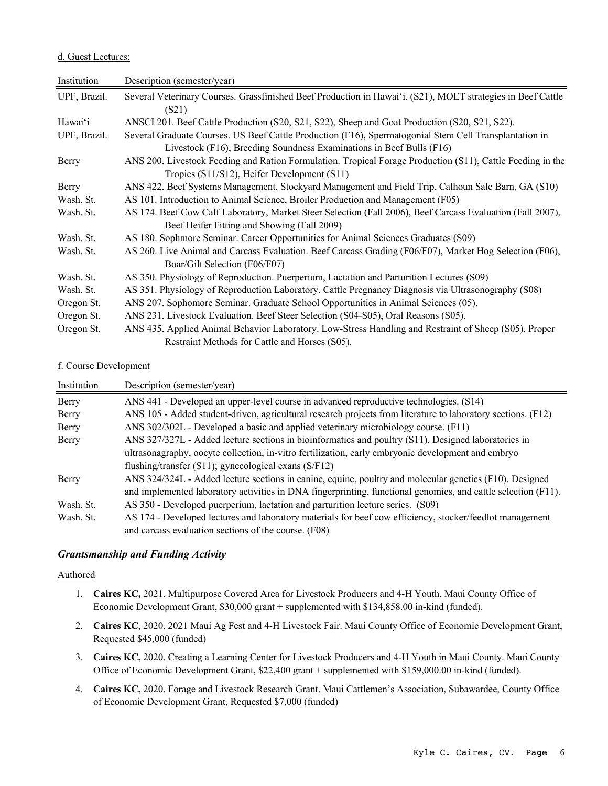### d. Guest Lectures:

| Institution  | Description (semester/year)                                                                                 |
|--------------|-------------------------------------------------------------------------------------------------------------|
| UPF, Brazil. | Several Veterinary Courses. Grassfinished Beef Production in Hawai'i. (S21), MOET strategies in Beef Cattle |
|              | (S21)                                                                                                       |
| Hawai'i      | ANSCI 201. Beef Cattle Production (S20, S21, S22), Sheep and Goat Production (S20, S21, S22).               |
| UPF, Brazil. | Several Graduate Courses. US Beef Cattle Production (F16), Spermatogonial Stem Cell Transplantation in      |
|              | Livestock (F16), Breeding Soundness Examinations in Beef Bulls (F16)                                        |
| Berry        | ANS 200. Livestock Feeding and Ration Formulation. Tropical Forage Production (S11), Cattle Feeding in the  |
|              | Tropics (S11/S12), Heifer Development (S11)                                                                 |
| Berry        | ANS 422. Beef Systems Management. Stockyard Management and Field Trip, Calhoun Sale Barn, GA (S10)          |
| Wash. St.    | AS 101. Introduction to Animal Science, Broiler Production and Management (F05)                             |
| Wash. St.    | AS 174. Beef Cow Calf Laboratory, Market Steer Selection (Fall 2006), Beef Carcass Evaluation (Fall 2007),  |
|              | Beef Heifer Fitting and Showing (Fall 2009)                                                                 |
| Wash. St.    | AS 180. Sophmore Seminar. Career Opportunities for Animal Sciences Graduates (S09)                          |
| Wash. St.    | AS 260. Live Animal and Carcass Evaluation. Beef Carcass Grading (F06/F07), Market Hog Selection (F06),     |
|              | Boar/Gilt Selection (F06/F07)                                                                               |
| Wash. St.    | AS 350. Physiology of Reproduction. Puerperium, Lactation and Parturition Lectures (S09)                    |
| Wash. St.    | AS 351. Physiology of Reproduction Laboratory. Cattle Pregnancy Diagnosis via Ultrasonography (S08)         |
| Oregon St.   | ANS 207. Sophomore Seminar. Graduate School Opportunities in Animal Sciences (05).                          |
| Oregon St.   | ANS 231. Livestock Evaluation. Beef Steer Selection (S04-S05), Oral Reasons (S05).                          |
| Oregon St.   | ANS 435. Applied Animal Behavior Laboratory. Low-Stress Handling and Restraint of Sheep (S05), Proper       |
|              | Restraint Methods for Cattle and Horses (S05).                                                              |

## f. Course Development

| Institution                                                                                        | Description (semester/year)                                                                                   |  |
|----------------------------------------------------------------------------------------------------|---------------------------------------------------------------------------------------------------------------|--|
| Berry                                                                                              | ANS 441 - Developed an upper-level course in advanced reproductive technologies. (S14)                        |  |
| Berry                                                                                              | ANS 105 - Added student-driven, agricultural research projects from literature to laboratory sections. (F12)  |  |
| Berry                                                                                              | ANS 302/302L - Developed a basic and applied veterinary microbiology course. (F11)                            |  |
| Berry                                                                                              | ANS 327/327L - Added lecture sections in bioinformatics and poultry (S11). Designed laboratories in           |  |
| ultrasonagraphy, oocyte collection, in-vitro fertilization, early embryonic development and embryo |                                                                                                               |  |
|                                                                                                    | flushing/transfer $(S11)$ ; gynecological exans $(S/F12)$                                                     |  |
| Berry                                                                                              | ANS 324/324L - Added lecture sections in canine, equine, poultry and molecular genetics (F10). Designed       |  |
|                                                                                                    | and implemented laboratory activities in DNA fingerprinting, functional genomics, and cattle selection (F11). |  |
| Wash, St.                                                                                          | AS 350 - Developed puerperium, lactation and parturition lecture series. (S09)                                |  |
| Wash, St.                                                                                          | AS 174 - Developed lectures and laboratory materials for beef cow efficiency, stocker/feedlot management      |  |
|                                                                                                    | and carcass evaluation sections of the course. (F08)                                                          |  |

## *Grantsmanship and Funding Activity*

### Authored

- 1. **Caires KC,** 2021. Multipurpose Covered Area for Livestock Producers and 4-H Youth. Maui County Office of Economic Development Grant, \$30,000 grant + supplemented with \$134,858.00 in-kind (funded).
- 2. **Caires KC**, 2020. 2021 Maui Ag Fest and 4-H Livestock Fair. Maui County Office of Economic Development Grant, Requested \$45,000 (funded)
- 3. **Caires KC,** 2020. Creating a Learning Center for Livestock Producers and 4-H Youth in Maui County. Maui County Office of Economic Development Grant, \$22,400 grant + supplemented with \$159,000.00 in-kind (funded).
- 4. **Caires KC,** 2020. Forage and Livestock Research Grant. Maui Cattlemen's Association, Subawardee, County Office of Economic Development Grant, Requested \$7,000 (funded)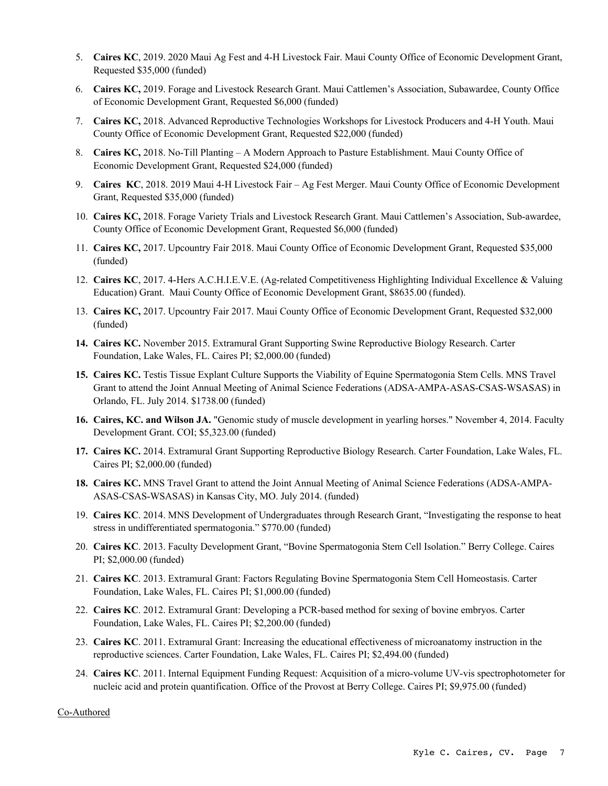- 5. **Caires KC**, 2019. 2020 Maui Ag Fest and 4-H Livestock Fair. Maui County Office of Economic Development Grant, Requested \$35,000 (funded)
- 6. **Caires KC,** 2019. Forage and Livestock Research Grant. Maui Cattlemen's Association, Subawardee, County Office of Economic Development Grant, Requested \$6,000 (funded)
- 7. **Caires KC,** 2018. Advanced Reproductive Technologies Workshops for Livestock Producers and 4-H Youth. Maui County Office of Economic Development Grant, Requested \$22,000 (funded)
- 8. **Caires KC,** 2018. No-Till Planting A Modern Approach to Pasture Establishment. Maui County Office of Economic Development Grant, Requested \$24,000 (funded)
- 9. **Caires KC**, 2018. 2019 Maui 4-H Livestock Fair Ag Fest Merger. Maui County Office of Economic Development Grant, Requested \$35,000 (funded)
- 10. **Caires KC,** 2018. Forage Variety Trials and Livestock Research Grant. Maui Cattlemen's Association, Sub-awardee, County Office of Economic Development Grant, Requested \$6,000 (funded)
- 11. **Caires KC,** 2017. Upcountry Fair 2018. Maui County Office of Economic Development Grant, Requested \$35,000 (funded)
- 12. **Caires KC**, 2017. 4-Hers A.C.H.I.E.V.E. (Ag-related Competitiveness Highlighting Individual Excellence & Valuing Education) Grant. Maui County Office of Economic Development Grant, \$8635.00 (funded).
- 13. **Caires KC,** 2017. Upcountry Fair 2017. Maui County Office of Economic Development Grant, Requested \$32,000 (funded)
- **14. Caires KC.** November 2015. Extramural Grant Supporting Swine Reproductive Biology Research. Carter Foundation, Lake Wales, FL. Caires PI; \$2,000.00 (funded)
- **15. Caires KC.** Testis Tissue Explant Culture Supports the Viability of Equine Spermatogonia Stem Cells. MNS Travel Grant to attend the Joint Annual Meeting of Animal Science Federations (ADSA-AMPA-ASAS-CSAS-WSASAS) in Orlando, FL. July 2014. \$1738.00 (funded)
- **16. Caires, KC. and Wilson JA.** "Genomic study of muscle development in yearling horses." November 4, 2014. Faculty Development Grant. COI; \$5,323.00 (funded)
- **17. Caires KC.** 2014. Extramural Grant Supporting Reproductive Biology Research. Carter Foundation, Lake Wales, FL. Caires PI; \$2,000.00 (funded)
- **18. Caires KC.** MNS Travel Grant to attend the Joint Annual Meeting of Animal Science Federations (ADSA-AMPA-ASAS-CSAS-WSASAS) in Kansas City, MO. July 2014. (funded)
- 19. **Caires KC**. 2014. MNS Development of Undergraduates through Research Grant, "Investigating the response to heat stress in undifferentiated spermatogonia." \$770.00 (funded)
- 20. **Caires KC**. 2013. Faculty Development Grant, "Bovine Spermatogonia Stem Cell Isolation." Berry College. Caires PI; \$2,000.00 (funded)
- 21. **Caires KC**. 2013. Extramural Grant: Factors Regulating Bovine Spermatogonia Stem Cell Homeostasis. Carter Foundation, Lake Wales, FL. Caires PI; \$1,000.00 (funded)
- 22. **Caires KC**. 2012. Extramural Grant: Developing a PCR-based method for sexing of bovine embryos. Carter Foundation, Lake Wales, FL. Caires PI; \$2,200.00 (funded)
- 23. **Caires KC**. 2011. Extramural Grant: Increasing the educational effectiveness of microanatomy instruction in the reproductive sciences. Carter Foundation, Lake Wales, FL. Caires PI; \$2,494.00 (funded)
- 24. **Caires KC**. 2011. Internal Equipment Funding Request: Acquisition of a micro-volume UV-vis spectrophotometer for nucleic acid and protein quantification. Office of the Provost at Berry College. Caires PI; \$9,975.00 (funded)

Co-Authored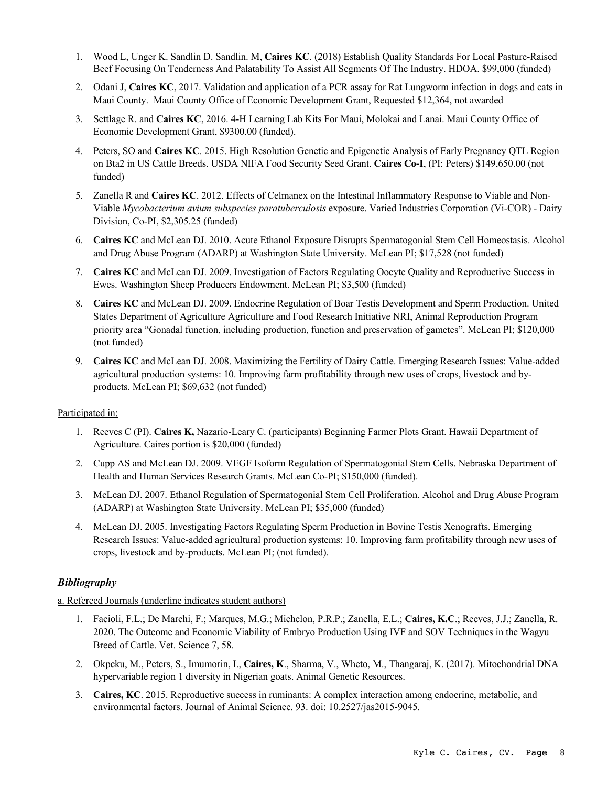- 1. Wood L, Unger K. Sandlin D. Sandlin. M, **Caires KC**. (2018) Establish Quality Standards For Local Pasture-Raised Beef Focusing On Tenderness And Palatability To Assist All Segments Of The Industry. HDOA. \$99,000 (funded)
- 2. Odani J, **Caires KC**, 2017. Validation and application of a PCR assay for Rat Lungworm infection in dogs and cats in Maui County. Maui County Office of Economic Development Grant, Requested \$12,364, not awarded
- 3. Settlage R. and **Caires KC**, 2016. 4-H Learning Lab Kits For Maui, Molokai and Lanai. Maui County Office of Economic Development Grant, \$9300.00 (funded).
- 4. Peters, SO and **Caires KC**. 2015. High Resolution Genetic and Epigenetic Analysis of Early Pregnancy QTL Region on Bta2 in US Cattle Breeds. USDA NIFA Food Security Seed Grant. **Caires Co-I**, (PI: Peters) \$149,650.00 (not funded)
- 5. Zanella R and **Caires KC**. 2012. Effects of Celmanex on the Intestinal Inflammatory Response to Viable and Non-Viable *Mycobacterium avium subspecies paratuberculosis* exposure. Varied Industries Corporation (Vi-COR) - Dairy Division, Co-PI, \$2,305.25 (funded)
- 6. **Caires KC** and McLean DJ. 2010. Acute Ethanol Exposure Disrupts Spermatogonial Stem Cell Homeostasis. Alcohol and Drug Abuse Program (ADARP) at Washington State University. McLean PI; \$17,528 (not funded)
- 7. **Caires KC** and McLean DJ. 2009. Investigation of Factors Regulating Oocyte Quality and Reproductive Success in Ewes. Washington Sheep Producers Endowment. McLean PI; \$3,500 (funded)
- 8. **Caires KC** and McLean DJ. 2009. Endocrine Regulation of Boar Testis Development and Sperm Production. United States Department of Agriculture Agriculture and Food Research Initiative NRI, Animal Reproduction Program priority area "Gonadal function, including production, function and preservation of gametes". McLean PI; \$120,000 (not funded)
- 9. **Caires KC** and McLean DJ. 2008. Maximizing the Fertility of Dairy Cattle. Emerging Research Issues: Value-added agricultural production systems: 10. Improving farm profitability through new uses of crops, livestock and byproducts. McLean PI; \$69,632 (not funded)

## Participated in:

- 1. Reeves C (PI). **Caires K,** Nazario-Leary C. (participants) Beginning Farmer Plots Grant. Hawaii Department of Agriculture. Caires portion is \$20,000 (funded)
- 2. Cupp AS and McLean DJ. 2009. VEGF Isoform Regulation of Spermatogonial Stem Cells. Nebraska Department of Health and Human Services Research Grants. McLean Co-PI; \$150,000 (funded).
- 3. McLean DJ. 2007. Ethanol Regulation of Spermatogonial Stem Cell Proliferation. Alcohol and Drug Abuse Program (ADARP) at Washington State University. McLean PI; \$35,000 (funded)
- 4. McLean DJ. 2005. Investigating Factors Regulating Sperm Production in Bovine Testis Xenografts. Emerging Research Issues: Value-added agricultural production systems: 10. Improving farm profitability through new uses of crops, livestock and by-products. McLean PI; (not funded).

## *Bibliography*

a. Refereed Journals (underline indicates student authors)

- 1. Facioli, F.L.; De Marchi, F.; Marques, M.G.; Michelon, P.R.P.; Zanella, E.L.; **Caires, K.C**.; Reeves, J.J.; Zanella, R. 2020. The Outcome and Economic Viability of Embryo Production Using IVF and SOV Techniques in the Wagyu Breed of Cattle. Vet. Science 7, 58.
- 2. Okpeku, M., Peters, S., Imumorin, I., **Caires, K**., Sharma, V., Wheto, M., Thangaraj, K. (2017). Mitochondrial DNA hypervariable region 1 diversity in Nigerian goats. Animal Genetic Resources.
- 3. **Caires, KC**. 2015. Reproductive success in ruminants: A complex interaction among endocrine, metabolic, and environmental factors. Journal of Animal Science. 93. doi: 10.2527/jas2015-9045.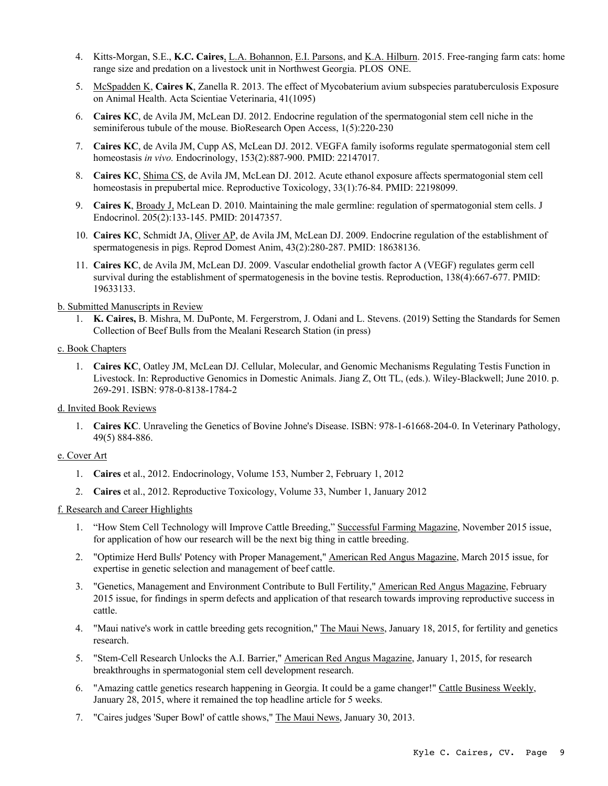- 4. Kitts-Morgan, S.E., **K.C. Caires**, L.A. Bohannon, E.I. Parsons, and K.A. Hilburn. 2015. Free-ranging farm cats: home range size and predation on a livestock unit in Northwest Georgia. PLOS ONE.
- 5. McSpadden K, **Caires K**, Zanella R. 2013. The effect of Mycobaterium avium subspecies paratuberculosis Exposure on Animal Health. Acta Scientiae Veterinaria, 41(1095)
- 6. **Caires KC**, de Avila JM, McLean DJ. 2012. Endocrine regulation of the spermatogonial stem cell niche in the seminiferous tubule of the mouse. BioResearch Open Access, 1(5):220-230
- 7. **Caires KC**, de Avila JM, Cupp AS, McLean DJ. 2012. VEGFA family isoforms regulate spermatogonial stem cell homeostasis *in vivo.* Endocrinology, 153(2):887-900. PMID: 22147017.
- 8. **Caires KC**, Shima CS, de Avila JM, McLean DJ. 2012. Acute ethanol exposure affects spermatogonial stem cell homeostasis in prepubertal mice. Reproductive Toxicology, 33(1):76-84. PMID: 22198099.
- 9. **Caires K**, Broady J, McLean D. 2010. Maintaining the male germline: regulation of spermatogonial stem cells. J Endocrinol. 205(2):133-145. PMID: 20147357.
- 10. **Caires KC**, Schmidt JA, Oliver AP, de Avila JM, McLean DJ. 2009. Endocrine regulation of the establishment of spermatogenesis in pigs. Reprod Domest Anim, 43(2):280-287. PMID: 18638136.
- 11. **Caires KC**, de Avila JM, McLean DJ. 2009. Vascular endothelial growth factor A (VEGF) regulates germ cell survival during the establishment of spermatogenesis in the bovine testis. Reproduction, 138(4):667-677. PMID: 19633133.

b. Submitted Manuscripts in Review

1. **K. Caires,** B. Mishra, M. DuPonte, M. Fergerstrom, J. Odani and L. Stevens. (2019) Setting the Standards for Semen Collection of Beef Bulls from the Mealani Research Station (in press)

### c. Book Chapters

1. **Caires KC**, Oatley JM, McLean DJ. Cellular, Molecular, and Genomic Mechanisms Regulating Testis Function in Livestock. In: Reproductive Genomics in Domestic Animals. Jiang Z, Ott TL, (eds.). Wiley-Blackwell; June 2010. p. 269-291. ISBN: 978-0-8138-1784-2

### d. Invited Book Reviews

1. **Caires KC**. Unraveling the Genetics of Bovine Johne's Disease. ISBN: 978-1-61668-204-0. In Veterinary Pathology, 49(5) 884-886.

## e. Cover Art

- 1. **Caires** et al., 2012. Endocrinology, Volume 153, Number 2, February 1, 2012
- 2. **Caires** et al., 2012. Reproductive Toxicology, Volume 33, Number 1, January 2012

### f. Research and Career Highlights

- 1. "How Stem Cell Technology will Improve Cattle Breeding," Successful Farming Magazine, November 2015 issue, for application of how our research will be the next big thing in cattle breeding.
- 2. "Optimize Herd Bulls' Potency with Proper Management," American Red Angus Magazine, March 2015 issue, for expertise in genetic selection and management of beef cattle.
- 3. "Genetics, Management and Environment Contribute to Bull Fertility," American Red Angus Magazine, February 2015 issue, for findings in sperm defects and application of that research towards improving reproductive success in cattle.
- 4. "Maui native's work in cattle breeding gets recognition," The Maui News, January 18, 2015, for fertility and genetics research.
- 5. "Stem-Cell Research Unlocks the A.I. Barrier," American Red Angus Magazine, January 1, 2015, for research breakthroughs in spermatogonial stem cell development research.
- 6. "Amazing cattle genetics research happening in Georgia. It could be a game changer!" Cattle Business Weekly, January 28, 2015, where it remained the top headline article for 5 weeks.
- 7. "Caires judges 'Super Bowl' of cattle shows," The Maui News, January 30, 2013.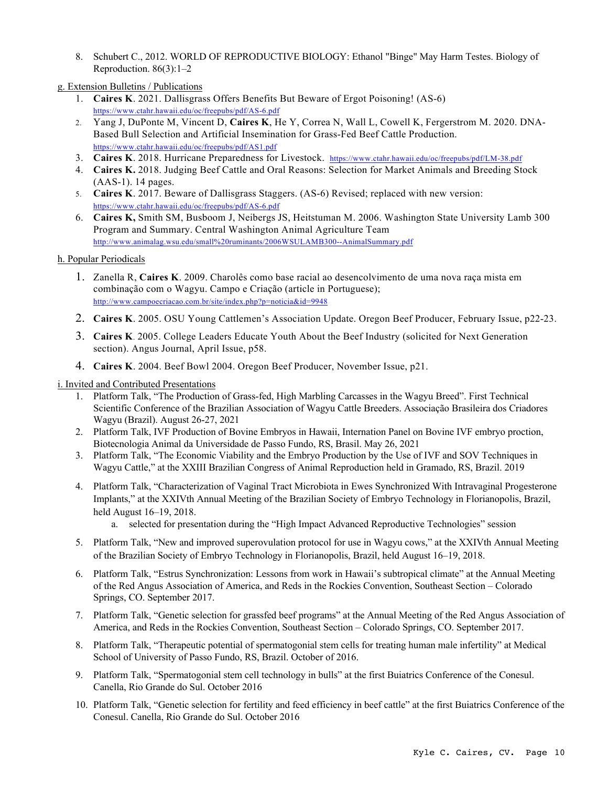8. Schubert C., 2012. WORLD OF REPRODUCTIVE BIOLOGY: Ethanol "Binge" May Harm Testes. Biology of Reproduction. 86(3):1–2

g. Extension Bulletins / Publications

- 1. **Caires K**. 2021. Dallisgrass Offers Benefits But Beware of Ergot Poisoning! (AS-6) https://www.ctahr.hawaii.edu/oc/freepubs/pdf/AS-6.pdf
- 2. Yang J, DuPonte M, Vincent D, **Caires K**, He Y, Correa N, Wall L, Cowell K, Fergerstrom M. 2020. DNA-Based Bull Selection and Artificial Insemination for Grass-Fed Beef Cattle Production. https://www.ctahr.hawaii.edu/oc/freepubs/pdf/AS1.pdf
- 3. **Caires K**. 2018. Hurricane Preparedness for Livestock. https://www.ctahr.hawaii.edu/oc/freepubs/pdf/LM-38.pdf
- 4. **Caires K.** 2018. Judging Beef Cattle and Oral Reasons: Selection for Market Animals and Breeding Stock (AAS-1). 14 pages.
- 5. **Caires K**. 2017. Beware of Dallisgrass Staggers. (AS-6) Revised; replaced with new version: https://www.ctahr.hawaii.edu/oc/freepubs/pdf/AS-6.pdf
- 6. **Caires K,** Smith SM, Busboom J, Neibergs JS, Heitstuman M. 2006. Washington State University Lamb 300 Program and Summary. Central Washington Animal Agriculture Team http://www.animalag.wsu.edu/small%20ruminants/2006WSULAMB300--AnimalSummary.pdf

## h. Popular Periodicals

- 1. Zanella R, **Caires K**. 2009. Charolês como base racial ao desencolvimento de uma nova raça mista em combinação com o Wagyu. Campo e Criação (article in Portuguese); http://www.campoecriacao.com.br/site/index.php?p=noticia&id=9948
- 2. **Caires K**. 2005. OSU Young Cattlemen's Association Update. Oregon Beef Producer, February Issue, p22-23.
- 3. **Caires K**. 2005. College Leaders Educate Youth About the Beef Industry (solicited for Next Generation section). Angus Journal, April Issue, p58.
- 4. **Caires K**. 2004. Beef Bowl 2004. Oregon Beef Producer, November Issue, p21.

i. Invited and Contributed Presentations

- 1. Platform Talk, "The Production of Grass-fed, High Marbling Carcasses in the Wagyu Breed". First Technical Scientific Conference of the Brazilian Association of Wagyu Cattle Breeders. Associação Brasileira dos Criadores Wagyu (Brazil). August 26-27, 2021
- 2. Platform Talk, IVF Production of Bovine Embryos in Hawaii, Internation Panel on Bovine IVF embryo proction, Biotecnologia Animal da Universidade de Passo Fundo, RS, Brasil. May 26, 2021
- 3. Platform Talk, "The Economic Viability and the Embryo Production by the Use of IVF and SOV Techniques in Wagyu Cattle," at the XXIII Brazilian Congress of Animal Reproduction held in Gramado, RS, Brazil. 2019
- 4. Platform Talk, "Characterization of Vaginal Tract Microbiota in Ewes Synchronized With Intravaginal Progesterone Implants," at the XXIVth Annual Meeting of the Brazilian Society of Embryo Technology in Florianopolis, Brazil, held August 16–19, 2018.
	- a. selected for presentation during the "High Impact Advanced Reproductive Technologies" session
- 5. Platform Talk, "New and improved superovulation protocol for use in Wagyu cows," at the XXIVth Annual Meeting of the Brazilian Society of Embryo Technology in Florianopolis, Brazil, held August 16–19, 2018.
- 6. Platform Talk, "Estrus Synchronization: Lessons from work in Hawaii's subtropical climate" at the Annual Meeting of the Red Angus Association of America, and Reds in the Rockies Convention, Southeast Section – Colorado Springs, CO. September 2017.
- 7. Platform Talk, "Genetic selection for grassfed beef programs" at the Annual Meeting of the Red Angus Association of America, and Reds in the Rockies Convention, Southeast Section – Colorado Springs, CO. September 2017.
- 8. Platform Talk, "Therapeutic potential of spermatogonial stem cells for treating human male infertility" at Medical School of University of Passo Fundo, RS, Brazil. October of 2016.
- 9. Platform Talk, "Spermatogonial stem cell technology in bulls" at the first Buiatrics Conference of the Conesul. Canella, Rio Grande do Sul. October 2016
- 10. Platform Talk, "Genetic selection for fertility and feed efficiency in beef cattle" at the first Buiatrics Conference of the Conesul. Canella, Rio Grande do Sul. October 2016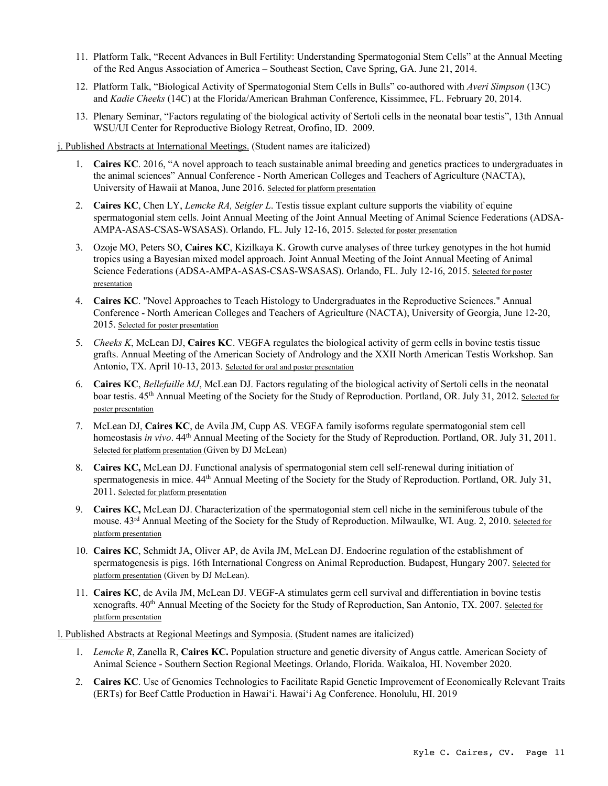- 11. Platform Talk, "Recent Advances in Bull Fertility: Understanding Spermatogonial Stem Cells" at the Annual Meeting of the Red Angus Association of America – Southeast Section, Cave Spring, GA. June 21, 2014.
- 12. Platform Talk, "Biological Activity of Spermatogonial Stem Cells in Bulls" co-authored with *Averi Simpson* (13C) and *Kadie Cheeks* (14C) at the Florida/American Brahman Conference, Kissimmee, FL. February 20, 2014.
- 13. Plenary Seminar, "Factors regulating of the biological activity of Sertoli cells in the neonatal boar testis", 13th Annual WSU/UI Center for Reproductive Biology Retreat, Orofino, ID. 2009.

j. Published Abstracts at International Meetings. (Student names are italicized)

- 1. **Caires KC**. 2016, "A novel approach to teach sustainable animal breeding and genetics practices to undergraduates in the animal sciences" Annual Conference - North American Colleges and Teachers of Agriculture (NACTA), University of Hawaii at Manoa, June 2016. Selected for platform presentation
- 2. **Caires KC**, Chen LY, *Lemcke RA, Seigler L*. Testis tissue explant culture supports the viability of equine spermatogonial stem cells. Joint Annual Meeting of the Joint Annual Meeting of Animal Science Federations (ADSA-AMPA-ASAS-CSAS-WSASAS). Orlando, FL. July 12-16, 2015. Selected for poster presentation
- 3. Ozoje MO, Peters SO, **Caires KC**, Kizilkaya K. Growth curve analyses of three turkey genotypes in the hot humid tropics using a Bayesian mixed model approach. Joint Annual Meeting of the Joint Annual Meeting of Animal Science Federations (ADSA-AMPA-ASAS-CSAS-WSASAS). Orlando, FL. July 12-16, 2015. Selected for poster presentation
- 4. **Caires KC**. "Novel Approaches to Teach Histology to Undergraduates in the Reproductive Sciences." Annual Conference - North American Colleges and Teachers of Agriculture (NACTA), University of Georgia, June 12-20, 2015. Selected for poster presentation
- 5. *Cheeks K*, McLean DJ, **Caires KC**. VEGFA regulates the biological activity of germ cells in bovine testis tissue grafts. Annual Meeting of the American Society of Andrology and the XXII North American Testis Workshop. San Antonio, TX. April 10-13, 2013. Selected for oral and poster presentation
- 6. **Caires KC**, *Bellefuille MJ*, McLean DJ. Factors regulating of the biological activity of Sertoli cells in the neonatal boar testis. 45<sup>th</sup> Annual Meeting of the Society for the Study of Reproduction. Portland, OR. July 31, 2012. Selected for poster presentation
- 7. McLean DJ, **Caires KC**, de Avila JM, Cupp AS. VEGFA family isoforms regulate spermatogonial stem cell homeostasis *in vivo*. 44th Annual Meeting of the Society for the Study of Reproduction. Portland, OR. July 31, 2011. Selected for platform presentation (Given by DJ McLean)
- 8. **Caires KC,** McLean DJ. Functional analysis of spermatogonial stem cell self-renewal during initiation of spermatogenesis in mice. 44<sup>th</sup> Annual Meeting of the Society for the Study of Reproduction. Portland, OR. July 31, 2011. Selected for platform presentation
- 9. **Caires KC,** McLean DJ. Characterization of the spermatogonial stem cell niche in the seminiferous tubule of the mouse. 43<sup>rd</sup> Annual Meeting of the Society for the Study of Reproduction. Milwaulke, WI. Aug. 2, 2010. Selected for platform presentation
- 10. **Caires KC**, Schmidt JA, Oliver AP, de Avila JM, McLean DJ. Endocrine regulation of the establishment of spermatogenesis is pigs. 16th International Congress on Animal Reproduction. Budapest, Hungary 2007. Selected for platform presentation (Given by DJ McLean).
- 11. **Caires KC**, de Avila JM, McLean DJ. VEGF-A stimulates germ cell survival and differentiation in bovine testis xenografts.  $40^{th}$  Annual Meeting of the Society for the Study of Reproduction, San Antonio, TX. 2007. Selected for platform presentation

l. Published Abstracts at Regional Meetings and Symposia. (Student names are italicized)

- 1. *Lemcke R*, Zanella R, **Caires KC.** Population structure and genetic diversity of Angus cattle. American Society of Animal Science - Southern Section Regional Meetings. Orlando, Florida. Waikaloa, HI. November 2020.
- 2. **Caires KC**. Use of Genomics Technologies to Facilitate Rapid Genetic Improvement of Economically Relevant Traits (ERTs) for Beef Cattle Production in Hawai'i. Hawai'i Ag Conference. Honolulu, HI. 2019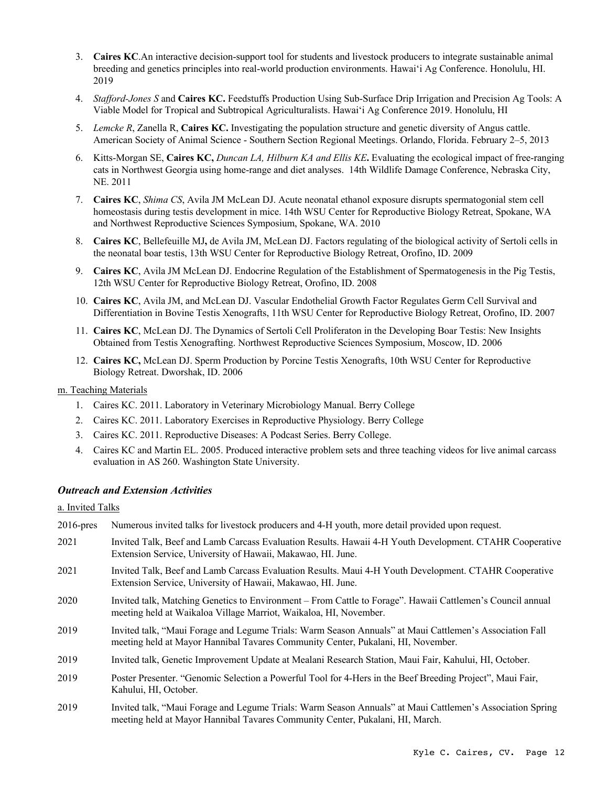- 3. **Caires KC**.An interactive decision-support tool for students and livestock producers to integrate sustainable animal breeding and genetics principles into real-world production environments. Hawai'i Ag Conference. Honolulu, HI. 2019
- 4. *Stafford-Jones S* and **Caires KC.** Feedstuffs Production Using Sub-Surface Drip Irrigation and Precision Ag Tools: A Viable Model for Tropical and Subtropical Agriculturalists. Hawai'i Ag Conference 2019. Honolulu, HI
- 5. *Lemcke R*, Zanella R, **Caires KC.** Investigating the population structure and genetic diversity of Angus cattle. American Society of Animal Science - Southern Section Regional Meetings. Orlando, Florida. February 2–5, 2013
- 6. Kitts-Morgan SE, **Caires KC,** *Duncan LA, Hilburn KA and Ellis KE***.** Evaluating the ecological impact of free-ranging cats in Northwest Georgia using home-range and diet analyses. 14th Wildlife Damage Conference, Nebraska City, NE. 2011
- 7. **Caires KC**, *Shima CS*, Avila JM McLean DJ. Acute neonatal ethanol exposure disrupts spermatogonial stem cell homeostasis during testis development in mice. 14th WSU Center for Reproductive Biology Retreat, Spokane, WA and Northwest Reproductive Sciences Symposium, Spokane, WA. 2010
- 8. **Caires KC**, Bellefeuille MJ**,** de Avila JM, McLean DJ. Factors regulating of the biological activity of Sertoli cells in the neonatal boar testis, 13th WSU Center for Reproductive Biology Retreat, Orofino, ID. 2009
- 9. **Caires KC**, Avila JM McLean DJ. Endocrine Regulation of the Establishment of Spermatogenesis in the Pig Testis, 12th WSU Center for Reproductive Biology Retreat, Orofino, ID. 2008
- 10. **Caires KC**, Avila JM, and McLean DJ. Vascular Endothelial Growth Factor Regulates Germ Cell Survival and Differentiation in Bovine Testis Xenografts, 11th WSU Center for Reproductive Biology Retreat, Orofino, ID. 2007
- 11. **Caires KC**, McLean DJ. The Dynamics of Sertoli Cell Proliferaton in the Developing Boar Testis: New Insights Obtained from Testis Xenografting. Northwest Reproductive Sciences Symposium, Moscow, ID. 2006
- 12. **Caires KC,** McLean DJ. Sperm Production by Porcine Testis Xenografts, 10th WSU Center for Reproductive Biology Retreat. Dworshak, ID. 2006

## m. Teaching Materials

- 1. Caires KC. 2011. Laboratory in Veterinary Microbiology Manual. Berry College
- 2. Caires KC. 2011. Laboratory Exercises in Reproductive Physiology. Berry College
- 3. Caires KC. 2011. Reproductive Diseases: A Podcast Series. Berry College.
- 4. Caires KC and Martin EL. 2005. Produced interactive problem sets and three teaching videos for live animal carcass evaluation in AS 260. Washington State University.

## *Outreach and Extension Activities*

a. Invited Talks

2016-pres Numerous invited talks for livestock producers and 4-H youth, more detail provided upon request. 2021 Invited Talk, Beef and Lamb Carcass Evaluation Results. Hawaii 4-H Youth Development. CTAHR Cooperative Extension Service, University of Hawaii, Makawao, HI. June. 2021 Invited Talk, Beef and Lamb Carcass Evaluation Results. Maui 4-H Youth Development. CTAHR Cooperative Extension Service, University of Hawaii, Makawao, HI. June. 2020 Invited talk, Matching Genetics to Environment – From Cattle to Forage". Hawaii Cattlemen's Council annual meeting held at Waikaloa Village Marriot, Waikaloa, HI, November. 2019 Invited talk, "Maui Forage and Legume Trials: Warm Season Annuals" at Maui Cattlemen's Association Fall meeting held at Mayor Hannibal Tavares Community Center, Pukalani, HI, November. 2019 Invited talk, Genetic Improvement Update at Mealani Research Station, Maui Fair, Kahului, HI, October. 2019 Poster Presenter. "Genomic Selection a Powerful Tool for 4-Hers in the Beef Breeding Project", Maui Fair, Kahului, HI, October. 2019 Invited talk, "Maui Forage and Legume Trials: Warm Season Annuals" at Maui Cattlemen's Association Spring meeting held at Mayor Hannibal Tavares Community Center, Pukalani, HI, March.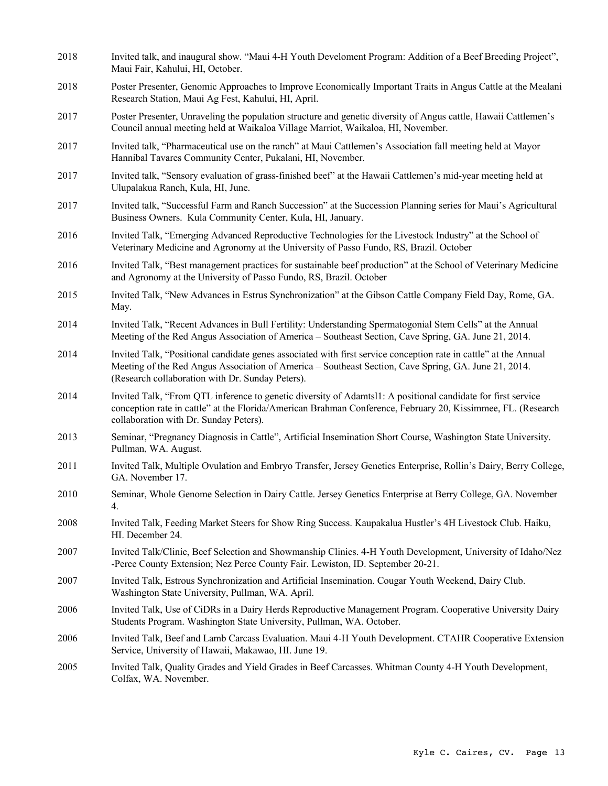- 2018 Invited talk, and inaugural show. "Maui 4-H Youth Develoment Program: Addition of a Beef Breeding Project", Maui Fair, Kahului, HI, October.
- 2018 Poster Presenter, Genomic Approaches to Improve Economically Important Traits in Angus Cattle at the Mealani Research Station, Maui Ag Fest, Kahului, HI, April.
- 2017 Poster Presenter, Unraveling the population structure and genetic diversity of Angus cattle, Hawaii Cattlemen's Council annual meeting held at Waikaloa Village Marriot, Waikaloa, HI, November.
- 2017 Invited talk, "Pharmaceutical use on the ranch" at Maui Cattlemen's Association fall meeting held at Mayor Hannibal Tavares Community Center, Pukalani, HI, November.
- 2017 Invited talk, "Sensory evaluation of grass-finished beef" at the Hawaii Cattlemen's mid-year meeting held at Ulupalakua Ranch, Kula, HI, June.
- 2017 Invited talk, "Successful Farm and Ranch Succession" at the Succession Planning series for Maui's Agricultural Business Owners. Kula Community Center, Kula, HI, January.
- 2016 Invited Talk, "Emerging Advanced Reproductive Technologies for the Livestock Industry" at the School of Veterinary Medicine and Agronomy at the University of Passo Fundo, RS, Brazil. October
- 2016 Invited Talk, "Best management practices for sustainable beef production" at the School of Veterinary Medicine and Agronomy at the University of Passo Fundo, RS, Brazil. October
- 2015 Invited Talk, "New Advances in Estrus Synchronization" at the Gibson Cattle Company Field Day, Rome, GA. May.
- 2014 Invited Talk, "Recent Advances in Bull Fertility: Understanding Spermatogonial Stem Cells" at the Annual Meeting of the Red Angus Association of America – Southeast Section, Cave Spring, GA. June 21, 2014.
- 2014 Invited Talk, "Positional candidate genes associated with first service conception rate in cattle" at the Annual Meeting of the Red Angus Association of America – Southeast Section, Cave Spring, GA. June 21, 2014. (Research collaboration with Dr. Sunday Peters).
- 2014 Invited Talk, "From QTL inference to genetic diversity of Adamtsl1: A positional candidate for first service conception rate in cattle" at the Florida/American Brahman Conference, February 20, Kissimmee, FL. (Research collaboration with Dr. Sunday Peters).
- 2013 Seminar, "Pregnancy Diagnosis in Cattle", Artificial Insemination Short Course, Washington State University. Pullman, WA. August.
- 2011 Invited Talk, Multiple Ovulation and Embryo Transfer, Jersey Genetics Enterprise, Rollin's Dairy, Berry College, GA. November 17.
- 2010 Seminar, Whole Genome Selection in Dairy Cattle. Jersey Genetics Enterprise at Berry College, GA. November 4.
- 2008 Invited Talk, Feeding Market Steers for Show Ring Success. Kaupakalua Hustler's 4H Livestock Club. Haiku, HI. December 24.
- 2007 Invited Talk/Clinic, Beef Selection and Showmanship Clinics. 4-H Youth Development, University of Idaho/Nez -Perce County Extension; Nez Perce County Fair. Lewiston, ID. September 20-21.
- 2007 Invited Talk, Estrous Synchronization and Artificial Insemination. Cougar Youth Weekend, Dairy Club. Washington State University, Pullman, WA. April.
- 2006 Invited Talk, Use of CiDRs in a Dairy Herds Reproductive Management Program. Cooperative University Dairy Students Program. Washington State University, Pullman, WA. October.
- 2006 Invited Talk, Beef and Lamb Carcass Evaluation. Maui 4-H Youth Development. CTAHR Cooperative Extension Service, University of Hawaii, Makawao, HI. June 19.
- 2005 Invited Talk, Quality Grades and Yield Grades in Beef Carcasses. Whitman County 4-H Youth Development, Colfax, WA. November.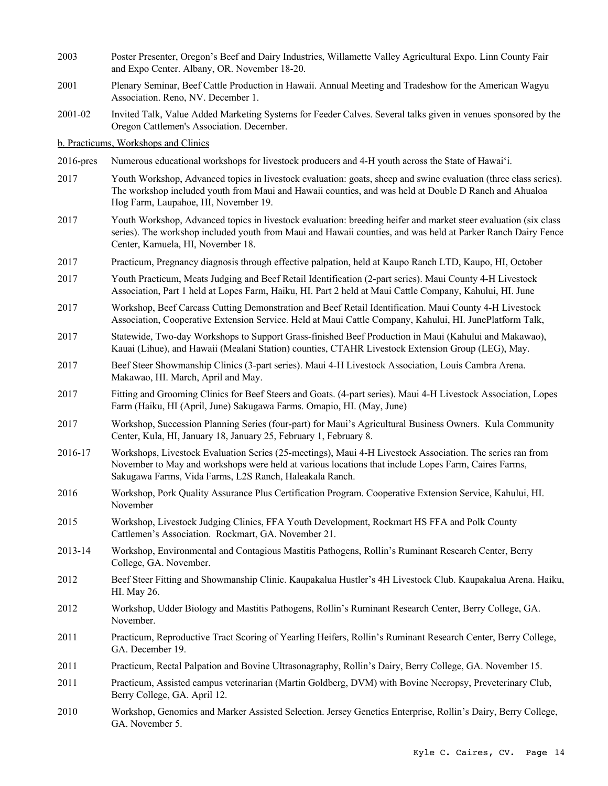- 2003 Poster Presenter, Oregon's Beef and Dairy Industries, Willamette Valley Agricultural Expo. Linn County Fair and Expo Center. Albany, OR. November 18-20.
- 2001 Plenary Seminar, Beef Cattle Production in Hawaii. Annual Meeting and Tradeshow for the American Wagyu Association. Reno, NV. December 1.
- 2001-02 Invited Talk, Value Added Marketing Systems for Feeder Calves. Several talks given in venues sponsored by the Oregon Cattlemen's Association. December.

b. Practicums, Workshops and Clinics

- 2016-pres Numerous educational workshops for livestock producers and 4-H youth across the State of Hawai'i.
- 2017 Youth Workshop, Advanced topics in livestock evaluation: goats, sheep and swine evaluation (three class series). The workshop included youth from Maui and Hawaii counties, and was held at Double D Ranch and Ahualoa Hog Farm, Laupahoe, HI, November 19.
- 2017 Youth Workshop, Advanced topics in livestock evaluation: breeding heifer and market steer evaluation (six class series). The workshop included youth from Maui and Hawaii counties, and was held at Parker Ranch Dairy Fence Center, Kamuela, HI, November 18.
- 2017 Practicum, Pregnancy diagnosis through effective palpation, held at Kaupo Ranch LTD, Kaupo, HI, October
- 2017 Youth Practicum, Meats Judging and Beef Retail Identification (2-part series). Maui County 4-H Livestock Association, Part 1 held at Lopes Farm, Haiku, HI. Part 2 held at Maui Cattle Company, Kahului, HI. June
- 2017 Workshop, Beef Carcass Cutting Demonstration and Beef Retail Identification. Maui County 4-H Livestock Association, Cooperative Extension Service. Held at Maui Cattle Company, Kahului, HI. JunePlatform Talk,
- 2017 Statewide, Two-day Workshops to Support Grass-finished Beef Production in Maui (Kahului and Makawao), Kauai (Lihue), and Hawaii (Mealani Station) counties, CTAHR Livestock Extension Group (LEG), May.
- 2017 Beef Steer Showmanship Clinics (3-part series). Maui 4-H Livestock Association, Louis Cambra Arena. Makawao, HI. March, April and May.
- 2017 Fitting and Grooming Clinics for Beef Steers and Goats. (4-part series). Maui 4-H Livestock Association, Lopes Farm (Haiku, HI (April, June) Sakugawa Farms. Omapio, HI. (May, June)
- 2017 Workshop, Succession Planning Series (four-part) for Maui's Agricultural Business Owners. Kula Community Center, Kula, HI, January 18, January 25, February 1, February 8.
- 2016-17 Workshops, Livestock Evaluation Series (25-meetings), Maui 4-H Livestock Association. The series ran from November to May and workshops were held at various locations that include Lopes Farm, Caires Farms, Sakugawa Farms, Vida Farms, L2S Ranch, Haleakala Ranch.
- 2016 Workshop, Pork Quality Assurance Plus Certification Program. Cooperative Extension Service, Kahului, HI. November
- 2015 Workshop, Livestock Judging Clinics, FFA Youth Development, Rockmart HS FFA and Polk County Cattlemen's Association. Rockmart, GA. November 21.
- 2013-14 Workshop, Environmental and Contagious Mastitis Pathogens, Rollin's Ruminant Research Center, Berry College, GA. November.
- 2012 Beef Steer Fitting and Showmanship Clinic. Kaupakalua Hustler's 4H Livestock Club. Kaupakalua Arena. Haiku, HI. May 26.
- 2012 Workshop, Udder Biology and Mastitis Pathogens, Rollin's Ruminant Research Center, Berry College, GA. November.
- 2011 Practicum, Reproductive Tract Scoring of Yearling Heifers, Rollin's Ruminant Research Center, Berry College, GA. December 19.
- 2011 Practicum, Rectal Palpation and Bovine Ultrasonagraphy, Rollin's Dairy, Berry College, GA. November 15.
- 2011 Practicum, Assisted campus veterinarian (Martin Goldberg, DVM) with Bovine Necropsy, Preveterinary Club, Berry College, GA. April 12.
- 2010 Workshop, Genomics and Marker Assisted Selection. Jersey Genetics Enterprise, Rollin's Dairy, Berry College, GA. November 5.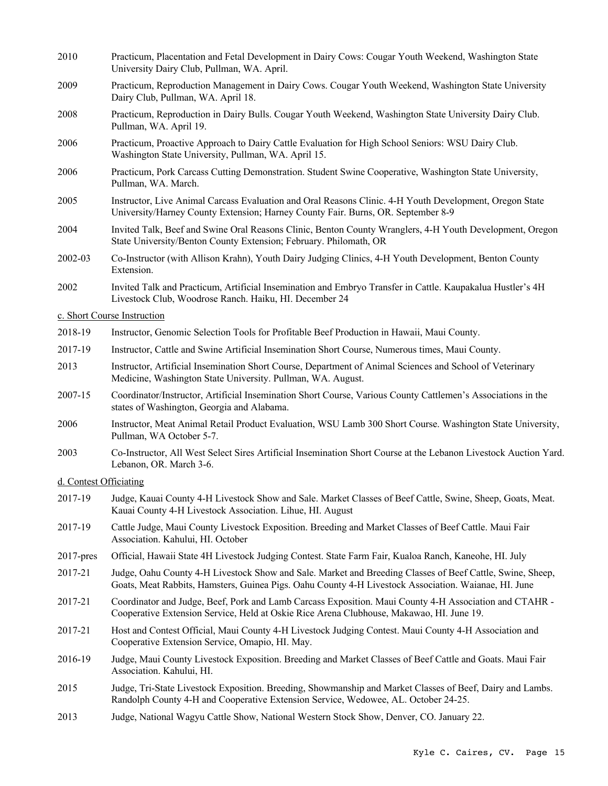| 2010                   | Practicum, Placentation and Fetal Development in Dairy Cows: Cougar Youth Weekend, Washington State<br>University Dairy Club, Pullman, WA. April.                                                                 |  |  |
|------------------------|-------------------------------------------------------------------------------------------------------------------------------------------------------------------------------------------------------------------|--|--|
| 2009                   | Practicum, Reproduction Management in Dairy Cows. Cougar Youth Weekend, Washington State University<br>Dairy Club, Pullman, WA. April 18.                                                                         |  |  |
| 2008                   | Practicum, Reproduction in Dairy Bulls. Cougar Youth Weekend, Washington State University Dairy Club.<br>Pullman, WA. April 19.                                                                                   |  |  |
| 2006                   | Practicum, Proactive Approach to Dairy Cattle Evaluation for High School Seniors: WSU Dairy Club.<br>Washington State University, Pullman, WA. April 15.                                                          |  |  |
| 2006                   | Practicum, Pork Carcass Cutting Demonstration. Student Swine Cooperative, Washington State University,<br>Pullman, WA. March.                                                                                     |  |  |
| 2005                   | Instructor, Live Animal Carcass Evaluation and Oral Reasons Clinic. 4-H Youth Development, Oregon State<br>University/Harney County Extension; Harney County Fair. Burns, OR. September 8-9                       |  |  |
| 2004                   | Invited Talk, Beef and Swine Oral Reasons Clinic, Benton County Wranglers, 4-H Youth Development, Oregon<br>State University/Benton County Extension; February. Philomath, OR                                     |  |  |
| 2002-03                | Co-Instructor (with Allison Krahn), Youth Dairy Judging Clinics, 4-H Youth Development, Benton County<br>Extension.                                                                                               |  |  |
| 2002                   | Invited Talk and Practicum, Artificial Insemination and Embryo Transfer in Cattle. Kaupakalua Hustler's 4H<br>Livestock Club, Woodrose Ranch. Haiku, HI. December 24                                              |  |  |
|                        | c. Short Course Instruction                                                                                                                                                                                       |  |  |
| 2018-19                | Instructor, Genomic Selection Tools for Profitable Beef Production in Hawaii, Maui County.                                                                                                                        |  |  |
| 2017-19                | Instructor, Cattle and Swine Artificial Insemination Short Course, Numerous times, Maui County.                                                                                                                   |  |  |
| 2013                   | Instructor, Artificial Insemination Short Course, Department of Animal Sciences and School of Veterinary<br>Medicine, Washington State University. Pullman, WA. August.                                           |  |  |
| 2007-15                | Coordinator/Instructor, Artificial Insemination Short Course, Various County Cattlemen's Associations in the<br>states of Washington, Georgia and Alabama.                                                        |  |  |
| 2006                   | Instructor, Meat Animal Retail Product Evaluation, WSU Lamb 300 Short Course. Washington State University,<br>Pullman, WA October 5-7.                                                                            |  |  |
| 2003                   | Co-Instructor, All West Select Sires Artificial Insemination Short Course at the Lebanon Livestock Auction Yard.<br>Lebanon, OR. March 3-6.                                                                       |  |  |
| d. Contest Officiating |                                                                                                                                                                                                                   |  |  |
| 2017-19                | Judge, Kauai County 4-H Livestock Show and Sale. Market Classes of Beef Cattle, Swine, Sheep, Goats, Meat.<br>Kauai County 4-H Livestock Association. Lihue, HI. August                                           |  |  |
| 2017-19                | Cattle Judge, Maui County Livestock Exposition. Breeding and Market Classes of Beef Cattle. Maui Fair<br>Association. Kahului, HI. October                                                                        |  |  |
| $2017$ -pres           | Official, Hawaii State 4H Livestock Judging Contest. State Farm Fair, Kualoa Ranch, Kaneohe, HI. July                                                                                                             |  |  |
| 2017-21                | Judge, Oahu County 4-H Livestock Show and Sale. Market and Breeding Classes of Beef Cattle, Swine, Sheep,<br>Goats, Meat Rabbits, Hamsters, Guinea Pigs. Oahu County 4-H Livestock Association. Waianae, HI. June |  |  |
| 2017-21                | Coordinator and Judge, Beef, Pork and Lamb Carcass Exposition. Maui County 4-H Association and CTAHR -<br>Cooperative Extension Service, Held at Oskie Rice Arena Clubhouse, Makawao, HI. June 19.                |  |  |
| 2017-21                | Host and Contest Official, Maui County 4-H Livestock Judging Contest. Maui County 4-H Association and<br>Cooperative Extension Service, Omapio, HI. May.                                                          |  |  |
| 2016-19                | Judge, Maui County Livestock Exposition. Breeding and Market Classes of Beef Cattle and Goats. Maui Fair<br>Association. Kahului, HI.                                                                             |  |  |
| 2015                   | Judge, Tri-State Livestock Exposition. Breeding, Showmanship and Market Classes of Beef, Dairy and Lambs.<br>Randolph County 4-H and Cooperative Extension Service, Wedowee, AL. October 24-25.                   |  |  |
| 2013                   | Judge, National Wagyu Cattle Show, National Western Stock Show, Denver, CO. January 22.                                                                                                                           |  |  |